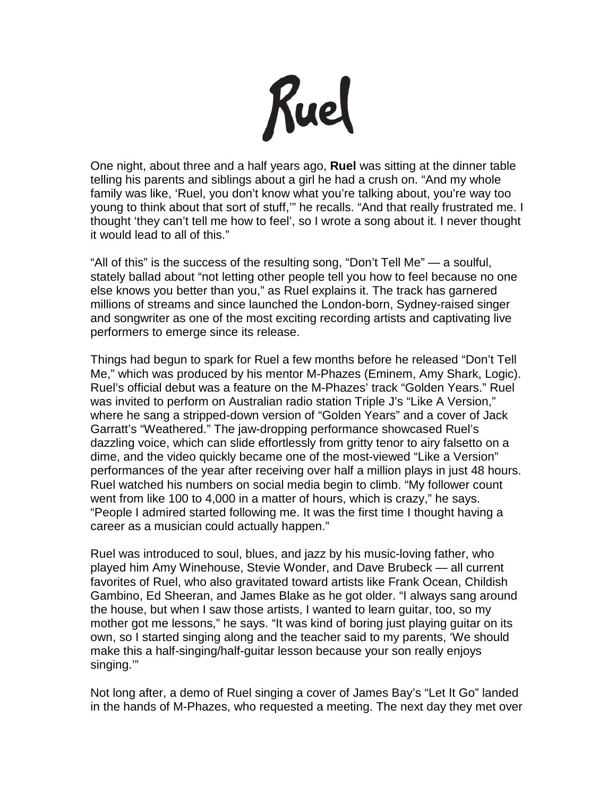

One night, about three and a half years ago, **Ruel** was sitting at the dinner table telling his parents and siblings about a girl he had a crush on. "And my whole family was like, 'Ruel, you don't know what you're talking about, you're way too young to think about that sort of stuff,'" he recalls. "And that really frustrated me. I thought 'they can't tell me how to feel', so I wrote a song about it. I never thought it would lead to all of this."

"All of this" is the success of the resulting song, "Don't Tell Me" — a soulful, stately ballad about "not letting other people tell you how to feel because no one else knows you better than you," as Ruel explains it. The track has garnered millions of streams and since launched the London-born, Sydney-raised singer and songwriter as one of the most exciting recording artists and captivating live performers to emerge since its release.

Things had begun to spark for Ruel a few months before he released "Don't Tell Me," which was produced by his mentor M-Phazes (Eminem, Amy Shark, Logic). Ruel's official debut was a feature on the M-Phazes' track "Golden Years." Ruel was invited to perform on Australian radio station Triple J's "Like A Version," where he sang a stripped-down version of "Golden Years" and a cover of Jack Garratt's "Weathered." The jaw-dropping performance showcased Ruel's dazzling voice, which can slide effortlessly from gritty tenor to airy falsetto on a dime, and the video quickly became one of the most-viewed "Like a Version" performances of the year after receiving over half a million plays in just 48 hours. Ruel watched his numbers on social media begin to climb. "My follower count went from like 100 to 4,000 in a matter of hours, which is crazy," he says. "People I admired started following me. It was the first time I thought having a career as a musician could actually happen."

Ruel was introduced to soul, blues, and jazz by his music-loving father, who played him Amy Winehouse, Stevie Wonder, and Dave Brubeck — all current favorites of Ruel, who also gravitated toward artists like Frank Ocean, Childish Gambino, Ed Sheeran, and James Blake as he got older. "I always sang around the house, but when I saw those artists, I wanted to learn guitar, too, so my mother got me lessons," he says. "It was kind of boring just playing guitar on its own, so I started singing along and the teacher said to my parents, 'We should make this a half-singing/half-guitar lesson because your son really enjoys singing.'"

Not long after, a demo of Ruel singing a cover of James Bay's "Let It Go" landed in the hands of M-Phazes, who requested a meeting. The next day they met over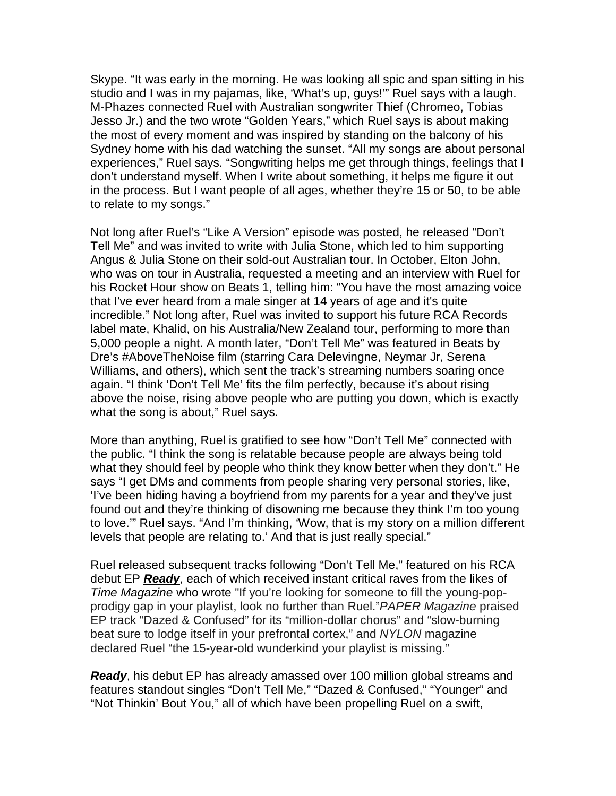Skype. "It was early in the morning. He was looking all spic and span sitting in his studio and I was in my pajamas, like, 'What's up, guys!'" Ruel says with a laugh. M-Phazes connected Ruel with Australian songwriter Thief (Chromeo, Tobias Jesso Jr.) and the two wrote "Golden Years," which Ruel says is about making the most of every moment and was inspired by standing on the balcony of his Sydney home with his dad watching the sunset. "All my songs are about personal experiences," Ruel says. "Songwriting helps me get through things, feelings that I don't understand myself. When I write about something, it helps me figure it out in the process. But I want people of all ages, whether they're 15 or 50, to be able to relate to my songs."

Not long after Ruel's "Like A Version" episode was posted, he released "Don't Tell Me" and was invited to write with Julia Stone, which led to him supporting Angus & Julia Stone on their sold-out Australian tour. In October, Elton John, who was on tour in Australia, requested a meeting and an interview with Ruel for his Rocket Hour show on Beats 1, telling him: "You have the most amazing voice that I've ever heard from a male singer at 14 years of age and it's quite incredible." Not long after, Ruel was invited to support his future RCA Records label mate, Khalid, on his Australia/New Zealand tour, performing to more than 5,000 people a night. A month later, "Don't Tell Me" was featured in Beats by Dre's #AboveTheNoise film (starring Cara Delevingne, Neymar Jr, Serena Williams, and others), which sent the track's streaming numbers soaring once again. "I think 'Don't Tell Me' fits the film perfectly, because it's about rising above the noise, rising above people who are putting you down, which is exactly what the song is about," Ruel says.

More than anything, Ruel is gratified to see how "Don't Tell Me" connected with the public. "I think the song is relatable because people are always being told what they should feel by people who think they know better when they don't." He says "I get DMs and comments from people sharing very personal stories, like, 'I've been hiding having a boyfriend from my parents for a year and they've just found out and they're thinking of disowning me because they think I'm too young to love.'" Ruel says. "And I'm thinking, 'Wow, that is my story on a million different levels that people are relating to.' And that is just really special."

Ruel released subsequent tracks following "Don't Tell Me," featured on his RCA debut EP *Ready*, each of which received instant critical raves from the likes of *Time Magazine* who wrote "If you're looking for someone to fill the young-popprodigy gap in your playlist, look no further than Ruel."*PAPER Magazine* praised EP track "Dazed & Confused" for its "million-dollar chorus" and "slow-burning beat sure to lodge itself in your prefrontal cortex," and *NYLON* magazine declared Ruel "the 15-year-old wunderkind your playlist is missing."

*Ready*, his debut EP has already amassed over 100 million global streams and features standout singles "Don't Tell Me," "Dazed & Confused," "Younger" and "Not Thinkin' Bout You," all of which have been propelling Ruel on a swift,